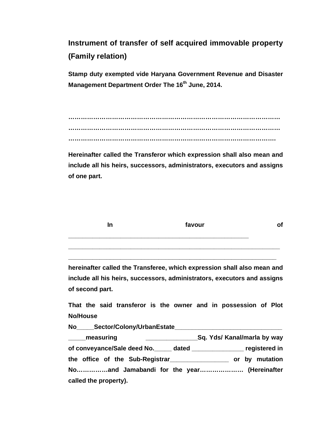**Instrument of transfer of self acquired immovable property (Family relation)** 

**Stamp duty exempted vide Haryana Government Revenue and Disaster Management Department Order The 16th June, 2014.** 

**………………………………………………………………………………………… ………………………………………………………………………………………… ……………………………………………………………………………………….** 

**Hereinafter called the Transferor which expression shall also mean and include all his heirs, successors, administrators, executors and assigns of one part.** 

| In | favour |  |
|----|--------|--|
|    |        |  |

**hereinafter called the Transferee, which expression shall also mean and include all his heirs, successors, administrators, executors and assigns of second part.** 

**\_\_\_\_\_\_\_\_\_\_\_\_\_\_\_\_\_\_\_\_\_\_\_\_\_\_\_\_\_\_\_\_\_\_\_\_\_\_\_\_\_\_\_\_\_\_\_\_\_\_\_\_\_\_\_\_\_\_\_\_** 

**That the said transferor is the owner and in possession of Plot No/House** 

No Sector/Colony/UrbanEstate **\_\_\_\_\_measuring \_\_\_\_\_\_\_\_\_\_\_\_\_\_\_Sq. Yds/ Kanal/marla by way of conveyance/Sale deed No.\_\_\_\_\_ dated \_\_\_\_\_\_\_\_\_\_\_\_\_\_\_ registered in the office of the Sub-Registrar\_\_\_\_\_\_\_\_\_\_\_\_\_\_\_\_\_ or by mutation No……………and Jamabandi for the year………………… (Hereinafter called the property).**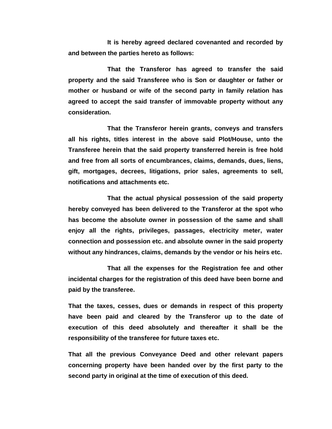**It is hereby agreed declared covenanted and recorded by and between the parties hereto as follows:** 

 **That the Transferor has agreed to transfer the said property and the said Transferee who is Son or daughter or father or mother or husband or wife of the second party in family relation has agreed to accept the said transfer of immovable property without any consideration.** 

 **That the Transferor herein grants, conveys and transfers all his rights, titles interest in the above said Plot/House, unto the Transferee herein that the said property transferred herein is free hold and free from all sorts of encumbrances, claims, demands, dues, liens, gift, mortgages, decrees, litigations, prior sales, agreements to sell, notifications and attachments etc.** 

 **That the actual physical possession of the said property hereby conveyed has been delivered to the Transferor at the spot who has become the absolute owner in possession of the same and shall enjoy all the rights, privileges, passages, electricity meter, water connection and possession etc. and absolute owner in the said property without any hindrances, claims, demands by the vendor or his heirs etc.** 

 **That all the expenses for the Registration fee and other incidental charges for the registration of this deed have been borne and paid by the transferee.** 

**That the taxes, cesses, dues or demands in respect of this property have been paid and cleared by the Transferor up to the date of execution of this deed absolutely and thereafter it shall be the responsibility of the transferee for future taxes etc.** 

**That all the previous Conveyance Deed and other relevant papers concerning property have been handed over by the first party to the second party in original at the time of execution of this deed.**